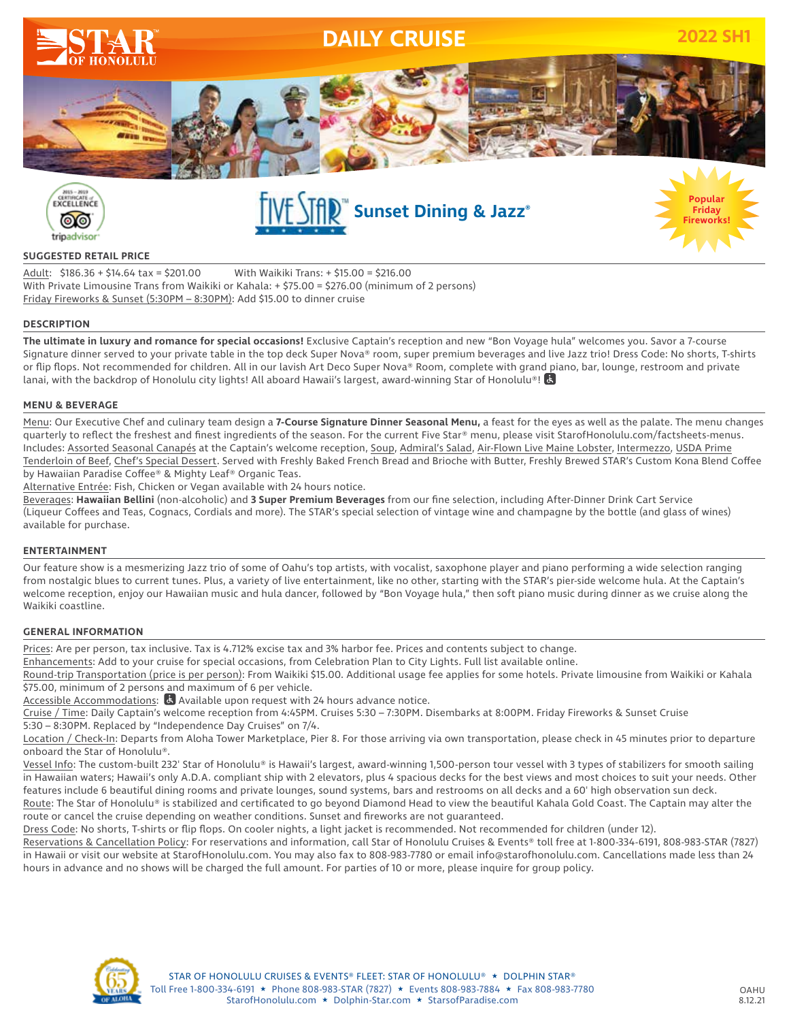



## **SUGGESTED RETAIL PRICE**

Adult: \$186.36 + \$14.64 tax = \$201.00 With Waikiki Trans: + \$15.00 = \$216.00 With Private Limousine Trans from Waikiki or Kahala: + \$75.00 = \$276.00 (minimum of 2 persons) Friday Fireworks & Sunset (5:30PM – 8:30PM): Add \$15.00 to dinner cruise

## **DESCRIPTION**

**The ultimate in luxury and romance for special occasions!** Exclusive Captain's reception and new "Bon Voyage hula" welcomes you. Savor a 7-course Signature dinner served to your private table in the top deck Super Nova® room, super premium beverages and live Jazz trio! Dress Code: No shorts, T-shirts or flip flops. Not recommended for children. All in our lavish Art Deco Super Nova® Room, complete with grand piano, bar, lounge, restroom and private lanai, with the backdrop of Honolulu city lights! All aboard Hawaii's largest, award-winning Star of Honolulu®!

## **MENU & BEVERAGE**

Menu: Our Executive Chef and culinary team design a **7-Course Signature Dinner Seasonal Menu,** a feast for the eyes as well as the palate. The menu changes quarterly to reflect the freshest and finest ingredients of the season. For the current Five Star® menu, please visit StarofHonolulu.com/factsheets-menus. Includes: Assorted Seasonal Canapés at the Captain's welcome reception, Soup, Admiral's Salad, Air-Flown Live Maine Lobster, Intermezzo, USDA Prime Tenderloin of Beef, Chef's Special Dessert. Served with Freshly Baked French Bread and Brioche with Butter, Freshly Brewed STAR's Custom Kona Blend Coffee by Hawaiian Paradise Coffee® & Mighty Leaf® Organic Teas.

Alternative Entrée: Fish, Chicken or Vegan available with 24 hours notice.

Beverages: **Hawaiian Bellini** (non-alcoholic) and **3 Super Premium Beverages** from our fine selection, including After-Dinner Drink Cart Service (Liqueur Coffees and Teas, Cognacs, Cordials and more). The STAR's special selection of vintage wine and champagne by the bottle (and glass of wines) available for purchase.

### **ENTERTAINMENT**

Our feature show is a mesmerizing Jazz trio of some of Oahu's top artists, with vocalist, saxophone player and piano performing a wide selection ranging from nostalgic blues to current tunes. Plus, a variety of live entertainment, like no other, starting with the STAR's pier-side welcome hula. At the Captain's welcome reception, enjoy our Hawaiian music and hula dancer, followed by "Bon Voyage hula," then soft piano music during dinner as we cruise along the Waikiki coastline.

#### **GENERAL INFORMATION**

Prices: Are per person, tax inclusive. Tax is 4.712% excise tax and 3% harbor fee. Prices and contents subject to change.

Enhancements: Add to your cruise for special occasions, from Celebration Plan to City Lights. Full list available online.

Round-trip Transportation (price is per person): From Waikiki \$15.00. Additional usage fee applies for some hotels. Private limousine from Waikiki or Kahala \$75.00, minimum of 2 persons and maximum of 6 per vehicle.

Accessible Accommodations: **B** Available upon request with 24 hours advance notice.

Cruise / Time: Daily Captain's welcome reception from 4:45PM. Cruises 5:30 – 7:30PM. Disembarks at 8:00PM. Friday Fireworks & Sunset Cruise 5:30 – 8:30PM. Replaced by "Independence Day Cruises" on 7/4.

Location / Check-In: Departs from Aloha Tower Marketplace, Pier 8. For those arriving via own transportation, please check in 45 minutes prior to departure onboard the Star of Honolulu®.

Vessel Info: The custom-built 232' Star of Honolulu® is Hawaii's largest, award-winning 1,500-person tour vessel with 3 types of stabilizers for smooth sailing in Hawaiian waters; Hawaii's only A.D.A. compliant ship with 2 elevators, plus 4 spacious decks for the best views and most choices to suit your needs. Other features include 6 beautiful dining rooms and private lounges, sound systems, bars and restrooms on all decks and a 60' high observation sun deck.

Route: The Star of Honolulu® is stabilized and certificated to go beyond Diamond Head to view the beautiful Kahala Gold Coast. The Captain may alter the route or cancel the cruise depending on weather conditions. Sunset and fireworks are not guaranteed.

Dress Code: No shorts, T-shirts or flip flops. On cooler nights, a light jacket is recommended. Not recommended for children (under 12).

Reservations & Cancellation Policy: For reservations and information, call Star of Honolulu Cruises & Events® toll free at 1-800-334-6191, 808-983-STAR (7827) in Hawaii or visit our website at StarofHonolulu.com. You may also fax to 808-983-7780 or email info@starofhonolulu.com. Cancellations made less than 24 hours in advance and no shows will be charged the full amount. For parties of 10 or more, please inquire for group policy.